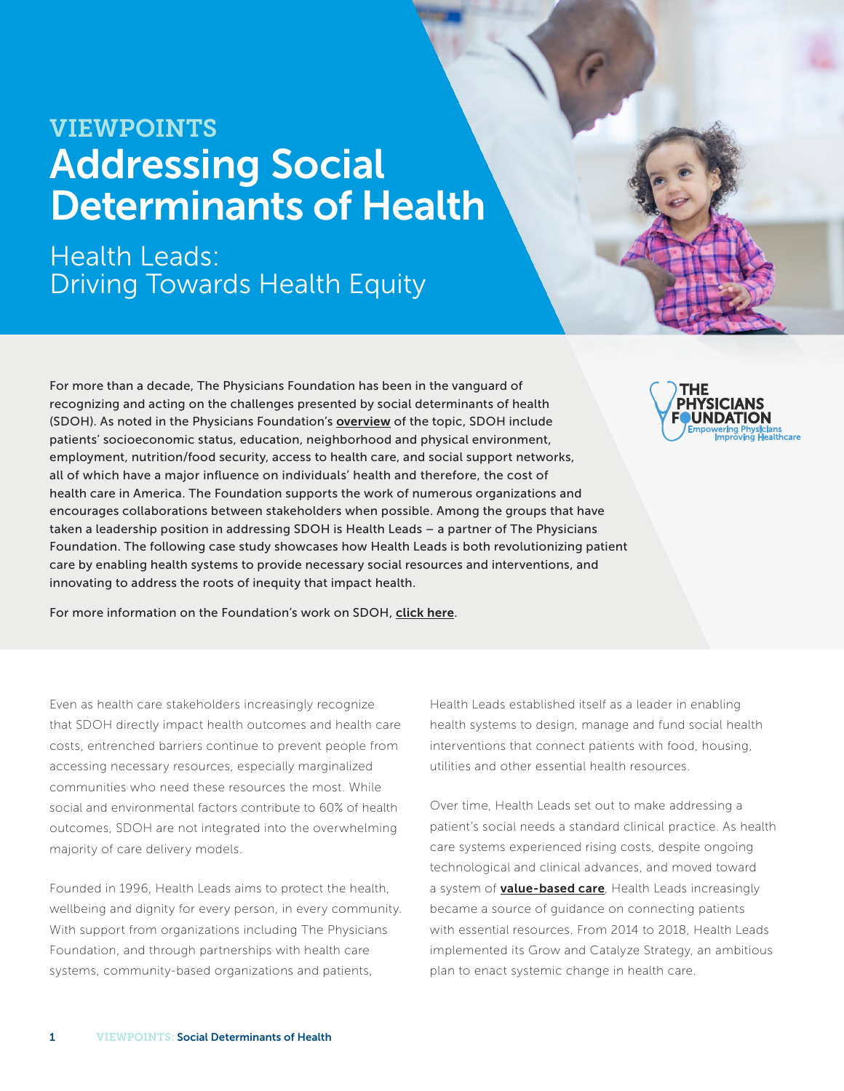# VIEWPOINTS Addressing Social Determinants of Health

Health Leads: Driving Towards Health Equity

For more than a decade, The Physicians Foundation has been in the vanguard of recognizing and acting on the challenges presented by social determinants of health (SDOH). As noted in the Physicians Foundation's overview of the topic, SDOH include patients' socioeconomic status, education, neighborhood and physical environment, employment, nutrition/food security, access to health care, and social support networks, all of which have a major influence on individuals' health and therefore, the cost of health care in America. The Foundation supports the work of numerous organizations and encourages collaborations between stakeholders when possible. Among the groups that have taken a leadership position in addressing SDOH is Health Leads – a partner of The Physicians Foundation. The following case study showcases how Health Leads is both revolutionizing patient care by enabling health systems to provide necessary social resources and interventions, and innovating to address the roots of inequity that impact health.

For more information on the Foundation's work on SDOH, click here.

Even as health care stakeholders increasingly recognize that SDOH directly impact health outcomes and health care costs, entrenched barriers continue to prevent people from accessing necessary resources, especially marginalized communities who need these resources the most. While social and environmental factors contribute to 60% of health outcomes, SDOH are not integrated into the overwhelming majority of care delivery models.

Founded in 1996, Health Leads aims to protect the health, wellbeing and dignity for every person, in every community. With support from organizations including The Physicians Foundation, and through partnerships with health care systems, community-based organizations and patients,

Health Leads established itself as a leader in enabling health systems to design, manage and fund social health interventions that connect patients with food, housing, utilities and other essential health resources.

Over time, Health Leads set out to make addressing a patient's social needs a standard clinical practice. As health care systems experienced rising costs, despite ongoing technological and clinical advances, and moved toward a system of **value-based care**, Health Leads increasingly became a source of guidance on connecting patients with essential resources. From 2014 to 2018, Health Leads implemented its Grow and Catalyze Strategy, an ambitious plan to enact systemic change in health care.

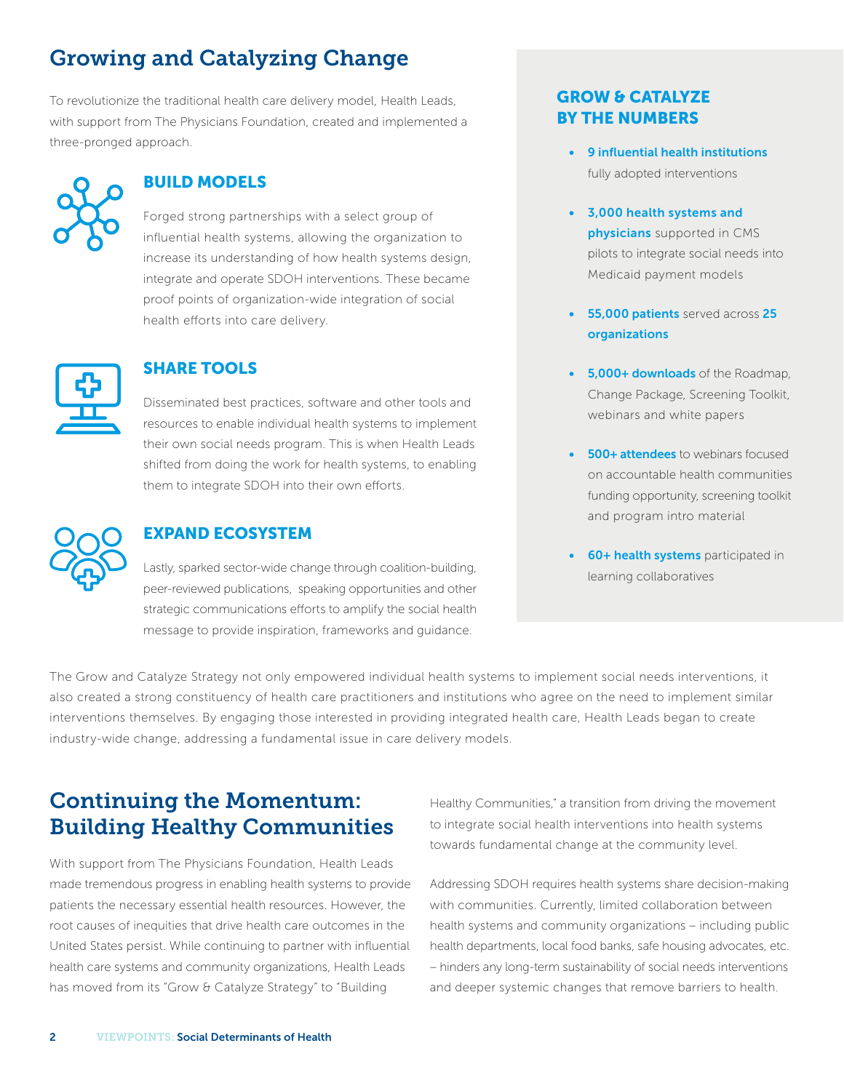# Growing and Catalyzing Change

To revolutionize the traditional health care delivery model, Health Leads, with support from The Physicians Foundation, created and implemented a three-pronged approach.



### BUILD MODELS

Forged strong partnerships with a select group of influential health systems, allowing the organization to increase its understanding of how health systems design, integrate and operate SDOH interventions. These became proof points of organization-wide integration of social health efforts into care delivery.



#### SHARE TOOLS

Disseminated best practices, software and other tools and resources to enable individual health systems to implement their own social needs program. This is when Health Leads shifted from doing the work for health systems, to enabling them to integrate SDOH into their own efforts.



### EXPAND ECOSYSTEM

Lastly, sparked sector-wide change through coalition-building, peer-reviewed publications, speaking opportunities and other strategic communications efforts to amplify the social health message to provide inspiration, frameworks and guidance.

## GROW & CATALYZE BY THE NUMBERS

- 9 influential health institutions fully adopted interventions
- 3,000 health systems and physicians supported in CMS pilots to integrate social needs into Medicaid payment models
- 55,000 patients served across 25 organizations
- 5,000+ downloads of the Roadmap, Change Package, Screening Toolkit, webinars and white papers
- **500+ attendees** to webinars focused on accountable health communities funding opportunity, screening toolkit and program intro material
- 60+ health systems participated in learning collaboratives

The Grow and Catalyze Strategy not only empowered individual health systems to implement social needs interventions, it also created a strong constituency of health care practitioners and institutions who agree on the need to implement similar interventions themselves. By engaging those interested in providing integrated health care, Health Leads began to create industry-wide change, addressing a fundamental issue in care delivery models.

# Continuing the Momentum: Building Healthy Communities

With support from The Physicians Foundation, Health Leads made tremendous progress in enabling health systems to provide patients the necessary essential health resources. However, the root causes of inequities that drive health care outcomes in the United States persist. While continuing to partner with influential health care systems and community organizations, Health Leads has moved from its "Grow & Catalyze Strategy" to "Building

Healthy Communities," a transition from driving the movement to integrate social health interventions into health systems towards fundamental change at the community level.

Addressing SDOH requires health systems share decision-making with communities. Currently, limited collaboration between health systems and community organizations – including public health departments, local food banks, safe housing advocates, etc. – hinders any long-term sustainability of social needs interventions and deeper systemic changes that remove barriers to health.